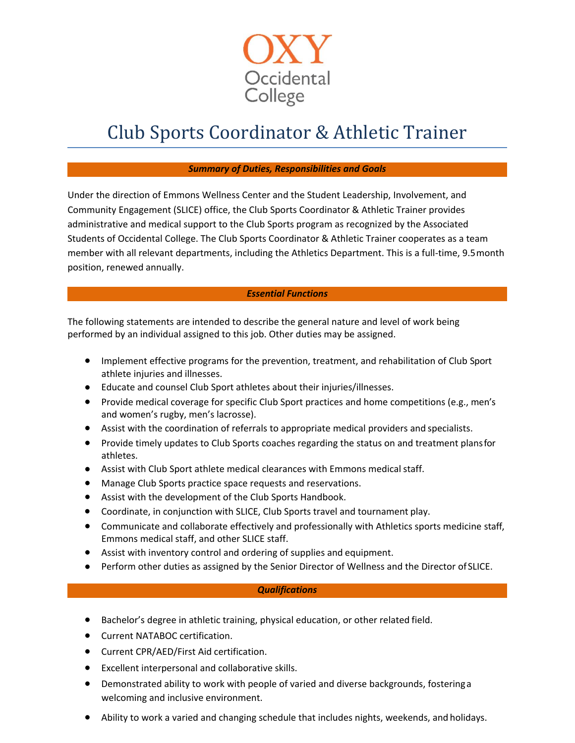

## Club Sports Coordinator & Athletic Trainer

## *Summary of Duties, Responsibilities and Goals*

Under the direction of Emmons Wellness Center and the Student Leadership, Involvement, and Community Engagement (SLICE) office, the Club Sports Coordinator & Athletic Trainer provides administrative and medical support to the Club Sports program as recognized by the Associated Students of Occidental College. The Club Sports Coordinator & Athletic Trainer cooperates as a team member with all relevant departments, including the Athletics Department. This is a full-time, 9.5 month position, renewed annually.

## *Essential Functions*

The following statements are intended to describe the general nature and level of work being performed by an individual assigned to this job. Other duties may be assigned.

- Implement effective programs for the prevention, treatment, and rehabilitation of Club Sport athlete injuries and illnesses.
- Educate and counsel Club Sport athletes about their injuries/illnesses.
- Provide medical coverage for specific Club Sport practices and home competitions (e.g., men's and women's rugby, men's lacrosse).
- Assist with the coordination of referrals to appropriate medical providers and specialists.
- Provide timely updates to Club Sports coaches regarding the status on and treatment plansfor athletes.
- Assist with Club Sport athlete medical clearances with Emmons medicalstaff.
- Manage Club Sports practice space requests and reservations.
- Assist with the development of the Club Sports Handbook.
- Coordinate, in conjunction with SLICE, Club Sports travel and tournament play.
- Communicate and collaborate effectively and professionally with Athletics sports medicine staff, Emmons medical staff, and other SLICE staff.
- Assist with inventory control and ordering of supplies and equipment.
- Perform other duties as assigned by the Senior Director of Wellness and the Director of SLICE.

## *Qualifications*

- Bachelor's degree in athletic training, physical education, or other related field.
- Current NATABOC certification.
- Current CPR/AED/First Aid certification.
- Excellent interpersonal and collaborative skills.
- Demonstrated ability to work with people of varied and diverse backgrounds, fosteringa welcoming and inclusive environment.
- Ability to work a varied and changing schedule that includes nights, weekends, and holidays.